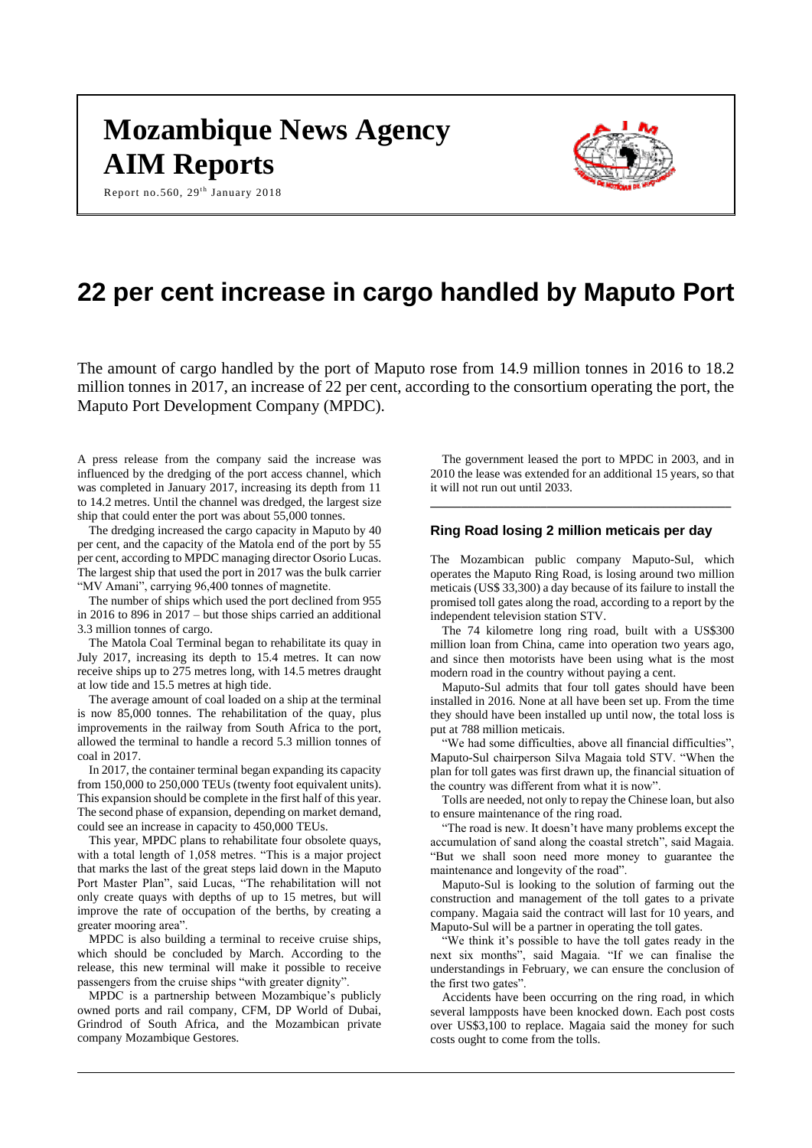# **Mozambique News Agency AIM Reports**

Report no.560,  $29^{th}$  January 2018



# **22 per cent increase in cargo handled by Maputo Port**

The amount of cargo handled by the port of Maputo rose from 14.9 million tonnes in 2016 to 18.2 million tonnes in 2017, an increase of 22 per cent, according to the consortium operating the port, the Maputo Port Development Company (MPDC).

A press release from the company said the increase was influenced by the dredging of the port access channel, which was completed in January 2017, increasing its depth from 11 to 14.2 metres. Until the channel was dredged, the largest size ship that could enter the port was about 55,000 tonnes.

The dredging increased the cargo capacity in Maputo by 40 per cent, and the capacity of the Matola end of the port by 55 per cent, according to MPDC managing director Osorio Lucas. The largest ship that used the port in 2017 was the bulk carrier "MV Amani", carrying 96,400 tonnes of magnetite.

The number of ships which used the port declined from 955 in 2016 to 896 in 2017 – but those ships carried an additional 3.3 million tonnes of cargo.

The Matola Coal Terminal began to rehabilitate its quay in July 2017, increasing its depth to 15.4 metres. It can now receive ships up to 275 metres long, with 14.5 metres draught at low tide and 15.5 metres at high tide.

The average amount of coal loaded on a ship at the terminal is now 85,000 tonnes. The rehabilitation of the quay, plus improvements in the railway from South Africa to the port, allowed the terminal to handle a record 5.3 million tonnes of coal in 2017.

In 2017, the container terminal began expanding its capacity from 150,000 to 250,000 TEUs (twenty foot equivalent units). This expansion should be complete in the first half of this year. The second phase of expansion, depending on market demand, could see an increase in capacity to 450,000 TEUs.

This year, MPDC plans to rehabilitate four obsolete quays, with a total length of 1,058 metres. "This is a major project that marks the last of the great steps laid down in the Maputo Port Master Plan", said Lucas, "The rehabilitation will not only create quays with depths of up to 15 metres, but will improve the rate of occupation of the berths, by creating a greater mooring area".

MPDC is also building a terminal to receive cruise ships, which should be concluded by March. According to the release, this new terminal will make it possible to receive passengers from the cruise ships "with greater dignity".

MPDC is a partnership between Mozambique's publicly owned ports and rail company, CFM, DP World of Dubai, Grindrod of South Africa, and the Mozambican private company Mozambique Gestores.

The government leased the port to MPDC in 2003, and in 2010 the lease was extended for an additional 15 years, so that it will not run out until 2033.

**\_\_\_\_\_\_\_\_\_\_\_\_\_\_\_\_\_\_\_\_\_\_\_\_\_\_\_\_\_\_\_\_\_\_\_\_\_\_\_\_\_\_\_\_\_\_\_\_\_**

# **Ring Road losing 2 million meticais per day**

The Mozambican public company Maputo-Sul, which operates the Maputo Ring Road, is losing around two million meticais (US\$ 33,300) a day because of its failure to install the promised toll gates along the road, according to a report by the independent television station STV.

The 74 kilometre long ring road, built with a US\$300 million loan from China, came into operation two years ago, and since then motorists have been using what is the most modern road in the country without paying a cent.

Maputo-Sul admits that four toll gates should have been installed in 2016. None at all have been set up. From the time they should have been installed up until now, the total loss is put at 788 million meticais.

"We had some difficulties, above all financial difficulties", Maputo-Sul chairperson Silva Magaia told STV. "When the plan for toll gates was first drawn up, the financial situation of the country was different from what it is now".

Tolls are needed, not only to repay the Chinese loan, but also to ensure maintenance of the ring road.

"The road is new. It doesn't have many problems except the accumulation of sand along the coastal stretch", said Magaia. "But we shall soon need more money to guarantee the maintenance and longevity of the road".

Maputo-Sul is looking to the solution of farming out the construction and management of the toll gates to a private company. Magaia said the contract will last for 10 years, and Maputo-Sul will be a partner in operating the toll gates.

"We think it's possible to have the toll gates ready in the next six months", said Magaia. "If we can finalise the understandings in February, we can ensure the conclusion of the first two gates".

Accidents have been occurring on the ring road, in which several lampposts have been knocked down. Each post costs over US\$3,100 to replace. Magaia said the money for such costs ought to come from the tolls.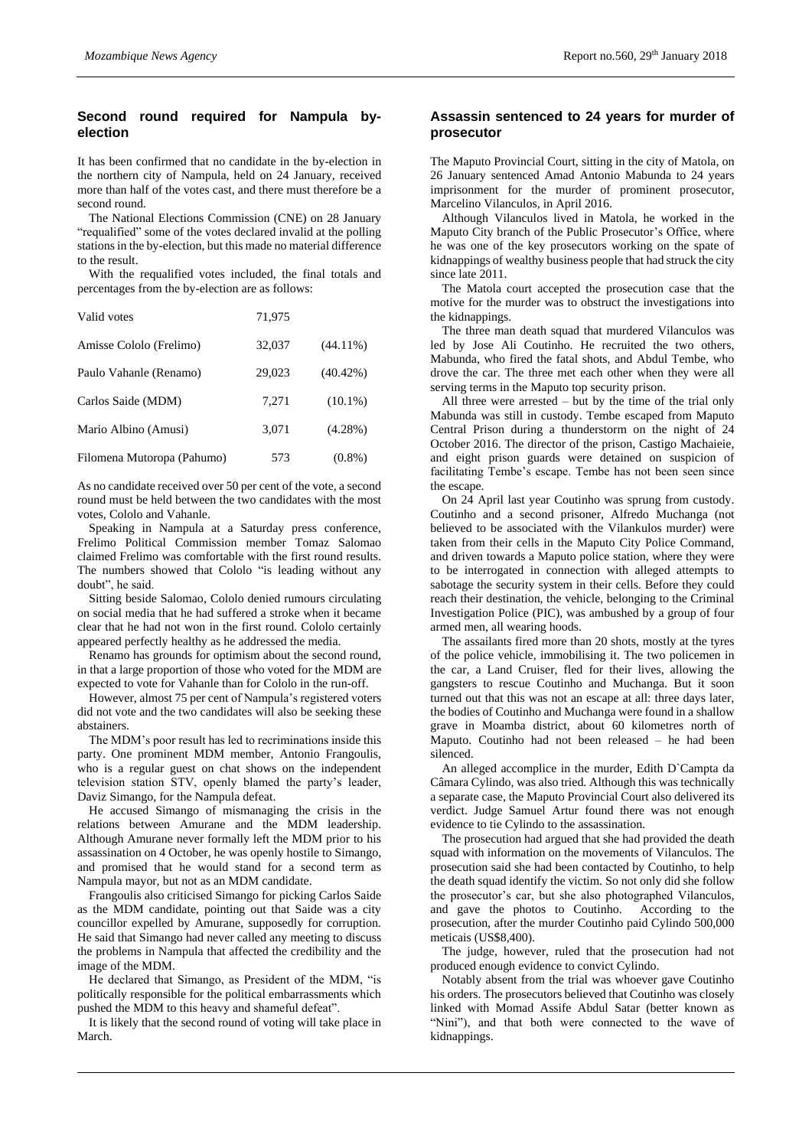# **Second round required for Nampula byelection**

It has been confirmed that no candidate in the by-election in the northern city of Nampula, held on 24 January, received more than half of the votes cast, and there must therefore be a second round.

The National Elections Commission (CNE) on 28 January "requalified" some of the votes declared invalid at the polling stations in the by-election, but this made no material difference to the result.

With the requalified votes included, the final totals and percentages from the by-election are as follows:

| Valid votes                | 71,975 |             |
|----------------------------|--------|-------------|
| Amisse Cololo (Frelimo)    | 32,037 | $(44.11\%)$ |
| Paulo Vahanle (Renamo)     | 29,023 | $(40.42\%)$ |
| Carlos Saide (MDM)         | 7.271  | $(10.1\%)$  |
| Mario Albino (Amusi)       | 3,071  | $(4.28\%)$  |
| Filomena Mutoropa (Pahumo) | 573    | $(0.8\%)$   |

As no candidate received over 50 per cent of the vote, a second round must be held between the two candidates with the most votes, Cololo and Vahanle.

Speaking in Nampula at a Saturday press conference, Frelimo Political Commission member Tomaz Salomao claimed Frelimo was comfortable with the first round results. The numbers showed that Cololo "is leading without any doubt", he said.

Sitting beside Salomao, Cololo denied rumours circulating on social media that he had suffered a stroke when it became clear that he had not won in the first round. Cololo certainly appeared perfectly healthy as he addressed the media.

Renamo has grounds for optimism about the second round, in that a large proportion of those who voted for the MDM are expected to vote for Vahanle than for Cololo in the run-off.

However, almost 75 per cent of Nampula's registered voters did not vote and the two candidates will also be seeking these abstainers.

The MDM's poor result has led to recriminations inside this party. One prominent MDM member, Antonio Frangoulis, who is a regular guest on chat shows on the independent television station STV, openly blamed the party's leader, Daviz Simango, for the Nampula defeat.

He accused Simango of mismanaging the crisis in the relations between Amurane and the MDM leadership. Although Amurane never formally left the MDM prior to his assassination on 4 October, he was openly hostile to Simango, and promised that he would stand for a second term as Nampula mayor, but not as an MDM candidate.

Frangoulis also criticised Simango for picking Carlos Saide as the MDM candidate, pointing out that Saide was a city councillor expelled by Amurane, supposedly for corruption. He said that Simango had never called any meeting to discuss the problems in Nampula that affected the credibility and the image of the MDM.

He declared that Simango, as President of the MDM, "is politically responsible for the political embarrassments which pushed the MDM to this heavy and shameful defeat".

It is likely that the second round of voting will take place in March.

#### **Assassin sentenced to 24 years for murder of prosecutor**

The Maputo Provincial Court, sitting in the city of Matola, on 26 January sentenced Amad Antonio Mabunda to 24 years imprisonment for the murder of prominent prosecutor, Marcelino Vilanculos, in April 2016.

Although Vilanculos lived in Matola, he worked in the Maputo City branch of the Public Prosecutor's Office, where he was one of the key prosecutors working on the spate of kidnappings of wealthy business people that had struck the city since late 2011.

The Matola court accepted the prosecution case that the motive for the murder was to obstruct the investigations into the kidnappings.

The three man death squad that murdered Vilanculos was led by Jose Ali Coutinho. He recruited the two others, Mabunda, who fired the fatal shots, and Abdul Tembe, who drove the car. The three met each other when they were all serving terms in the Maputo top security prison.

All three were arrested – but by the time of the trial only Mabunda was still in custody. Tembe escaped from Maputo Central Prison during a thunderstorm on the night of 24 October 2016. The director of the prison, Castigo Machaieie, and eight prison guards were detained on suspicion of facilitating Tembe's escape. Tembe has not been seen since the escape.

On 24 April last year Coutinho was sprung from custody. Coutinho and a second prisoner, Alfredo Muchanga (not believed to be associated with the Vilankulos murder) were taken from their cells in the Maputo City Police Command, and driven towards a Maputo police station, where they were to be interrogated in connection with alleged attempts to sabotage the security system in their cells. Before they could reach their destination, the vehicle, belonging to the Criminal Investigation Police (PIC), was ambushed by a group of four armed men, all wearing hoods.

The assailants fired more than 20 shots, mostly at the tyres of the police vehicle, immobilising it. The two policemen in the car, a Land Cruiser, fled for their lives, allowing the gangsters to rescue Coutinho and Muchanga. But it soon turned out that this was not an escape at all: three days later, the bodies of Coutinho and Muchanga were found in a shallow grave in Moamba district, about 60 kilometres north of Maputo. Coutinho had not been released – he had been silenced.

An alleged accomplice in the murder, Edith D`Campta da Câmara Cylindo, was also tried. Although this was technically a separate case, the Maputo Provincial Court also delivered its verdict. Judge Samuel Artur found there was not enough evidence to tie Cylindo to the assassination.

The prosecution had argued that she had provided the death squad with information on the movements of Vilanculos. The prosecution said she had been contacted by Coutinho, to help the death squad identify the victim. So not only did she follow the prosecutor's car, but she also photographed Vilanculos, and gave the photos to Coutinho. According to the prosecution, after the murder Coutinho paid Cylindo 500,000 meticais (US\$8,400).

The judge, however, ruled that the prosecution had not produced enough evidence to convict Cylindo.

Notably absent from the trial was whoever gave Coutinho his orders. The prosecutors believed that Coutinho was closely linked with Momad Assife Abdul Satar (better known as "Nini"), and that both were connected to the wave of kidnappings.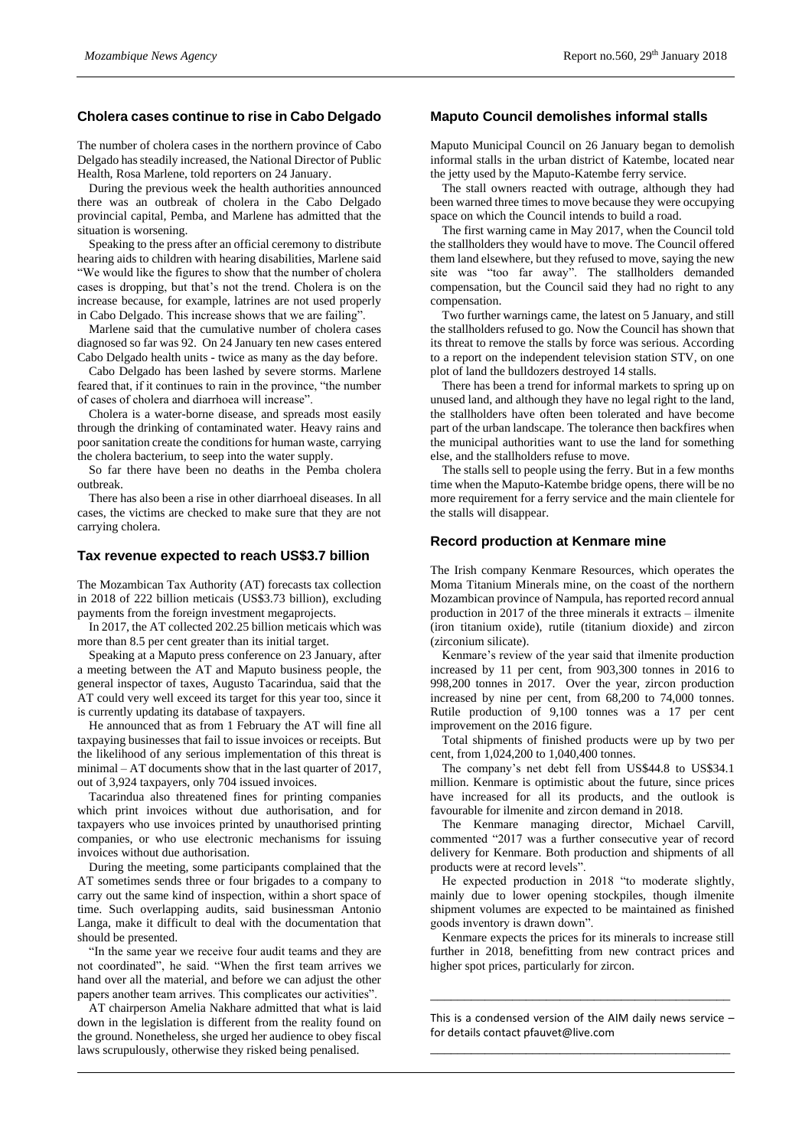#### **Cholera cases continue to rise in Cabo Delgado**

The number of cholera cases in the northern province of Cabo Delgado has steadily increased, the National Director of Public Health, Rosa Marlene, told reporters on 24 January.

During the previous week the health authorities announced there was an outbreak of cholera in the Cabo Delgado provincial capital, Pemba, and Marlene has admitted that the situation is worsening.

Speaking to the press after an official ceremony to distribute hearing aids to children with hearing disabilities, Marlene said "We would like the figures to show that the number of cholera cases is dropping, but that's not the trend. Cholera is on the increase because, for example, latrines are not used properly in Cabo Delgado. This increase shows that we are failing".

Marlene said that the cumulative number of cholera cases diagnosed so far was 92. On 24 January ten new cases entered Cabo Delgado health units - twice as many as the day before.

Cabo Delgado has been lashed by severe storms. Marlene feared that, if it continues to rain in the province, "the number of cases of cholera and diarrhoea will increase".

Cholera is a water-borne disease, and spreads most easily through the drinking of contaminated water. Heavy rains and poor sanitation create the conditions for human waste, carrying the cholera bacterium, to seep into the water supply.

So far there have been no deaths in the Pemba cholera outbreak.

There has also been a rise in other diarrhoeal diseases. In all cases, the victims are checked to make sure that they are not carrying cholera.

#### **Tax revenue expected to reach US\$3.7 billion**

The Mozambican Tax Authority (AT) forecasts tax collection in 2018 of 222 billion meticais (US\$3.73 billion), excluding payments from the foreign investment megaprojects.

In 2017, the AT collected 202.25 billion meticais which was more than 8.5 per cent greater than its initial target.

Speaking at a Maputo press conference on 23 January, after a meeting between the AT and Maputo business people, the general inspector of taxes, Augusto Tacarindua, said that the AT could very well exceed its target for this year too, since it is currently updating its database of taxpayers.

He announced that as from 1 February the AT will fine all taxpaying businesses that fail to issue invoices or receipts. But the likelihood of any serious implementation of this threat is minimal – AT documents show that in the last quarter of 2017, out of 3,924 taxpayers, only 704 issued invoices.

Tacarindua also threatened fines for printing companies which print invoices without due authorisation, and for taxpayers who use invoices printed by unauthorised printing companies, or who use electronic mechanisms for issuing invoices without due authorisation.

During the meeting, some participants complained that the AT sometimes sends three or four brigades to a company to carry out the same kind of inspection, within a short space of time. Such overlapping audits, said businessman Antonio Langa, make it difficult to deal with the documentation that should be presented.

"In the same year we receive four audit teams and they are not coordinated", he said. "When the first team arrives we hand over all the material, and before we can adjust the other papers another team arrives. This complicates our activities".

AT chairperson Amelia Nakhare admitted that what is laid down in the legislation is different from the reality found on the ground. Nonetheless, she urged her audience to obey fiscal laws scrupulously, otherwise they risked being penalised.

#### **Maputo Council demolishes informal stalls**

Maputo Municipal Council on 26 January began to demolish informal stalls in the urban district of Katembe, located near the jetty used by the Maputo-Katembe ferry service.

The stall owners reacted with outrage, although they had been warned three times to move because they were occupying space on which the Council intends to build a road.

The first warning came in May 2017, when the Council told the stallholders they would have to move. The Council offered them land elsewhere, but they refused to move, saying the new site was "too far away". The stallholders demanded compensation, but the Council said they had no right to any compensation.

Two further warnings came, the latest on 5 January, and still the stallholders refused to go. Now the Council has shown that its threat to remove the stalls by force was serious. According to a report on the independent television station STV, on one plot of land the bulldozers destroyed 14 stalls.

There has been a trend for informal markets to spring up on unused land, and although they have no legal right to the land, the stallholders have often been tolerated and have become part of the urban landscape. The tolerance then backfires when the municipal authorities want to use the land for something else, and the stallholders refuse to move.

The stalls sell to people using the ferry. But in a few months time when the Maputo-Katembe bridge opens, there will be no more requirement for a ferry service and the main clientele for the stalls will disappear.

#### **Record production at Kenmare mine**

The Irish company Kenmare Resources, which operates the Moma Titanium Minerals mine, on the coast of the northern Mozambican province of Nampula, has reported record annual production in 2017 of the three minerals it extracts – ilmenite (iron titanium oxide), rutile (titanium dioxide) and zircon (zirconium silicate).

Kenmare's review of the year said that ilmenite production increased by 11 per cent, from 903,300 tonnes in 2016 to 998,200 tonnes in 2017. Over the year, zircon production increased by nine per cent, from 68,200 to 74,000 tonnes. Rutile production of 9,100 tonnes was a 17 per cent improvement on the 2016 figure.

Total shipments of finished products were up by two per cent, from 1,024,200 to 1,040,400 tonnes.

The company's net debt fell from US\$44.8 to US\$34.1 million. Kenmare is optimistic about the future, since prices have increased for all its products, and the outlook is favourable for ilmenite and zircon demand in 2018.

The Kenmare managing director, Michael Carvill, commented "2017 was a further consecutive year of record delivery for Kenmare. Both production and shipments of all products were at record levels".

He expected production in 2018 "to moderate slightly, mainly due to lower opening stockpiles, though ilmenite shipment volumes are expected to be maintained as finished goods inventory is drawn down".

Kenmare expects the prices for its minerals to increase still further in 2018, benefitting from new contract prices and higher spot prices, particularly for zircon.

This is a condensed version of the AIM daily news service – for details contact [pfauvet@live.com](mailto:pfauvet@live.com) \_\_\_\_\_\_\_\_\_\_\_\_\_\_\_\_\_\_\_\_\_\_\_\_\_\_\_\_\_\_\_\_\_\_\_\_\_\_\_\_\_\_\_\_

\_\_\_\_\_\_\_\_\_\_\_\_\_\_\_\_\_\_\_\_\_\_\_\_\_\_\_\_\_\_\_\_\_\_\_\_\_\_\_\_\_\_\_\_